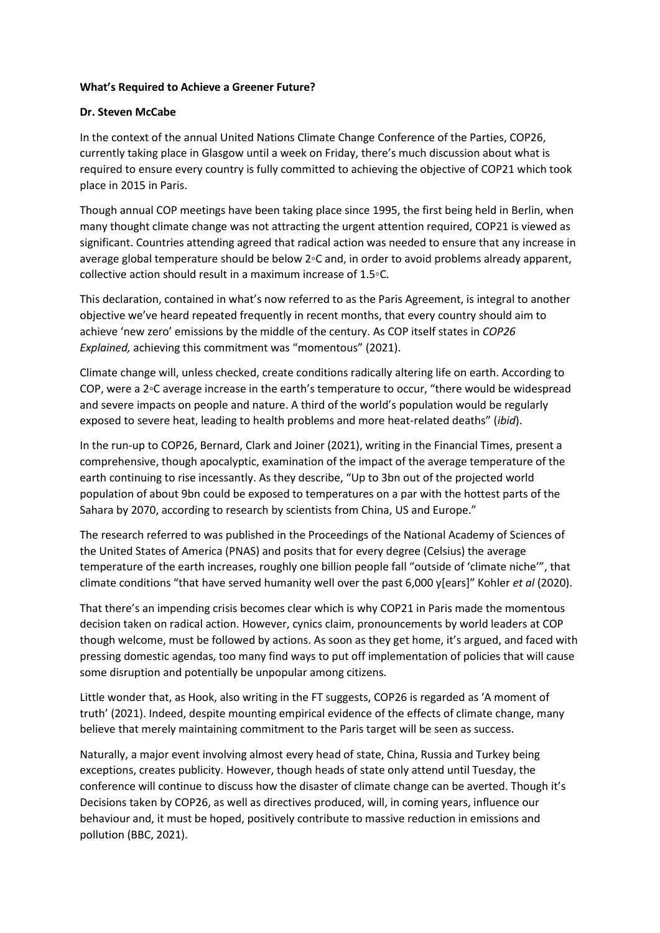## **What's Required to Achieve a Greener Future?**

## **Dr. Steven McCabe**

In the context of the annual United Nations Climate Change Conference of the Parties, COP26, currently taking place in Glasgow until a week on Friday, there's much discussion about what is required to ensure every country is fully committed to achieving the objective of COP21 which took place in 2015 in Paris.

Though annual COP meetings have been taking place since 1995, the first being held in Berlin, when many thought climate change was not attracting the urgent attention required, COP21 is viewed as significant. Countries attending agreed that radical action was needed to ensure that any increase in average global temperature should be below 2◦C and, in order to avoid problems already apparent, collective action should result in a maximum increase of 1.5◦C.

This declaration, contained in what's now referred to as the Paris Agreement, is integral to another objective we've heard repeated frequently in recent months, that every country should aim to achieve 'new zero' emissions by the middle of the century. As COP itself states in *COP26 Explained,* achieving this commitment was "momentous" (2021).

Climate change will, unless checked, create conditions radically altering life on earth. According to COP, were a 2◦C average increase in the earth's temperature to occur, "there would be widespread and severe impacts on people and nature. A third of the world's population would be regularly exposed to severe heat, leading to health problems and more heat-related deaths" (*ibid*).

In the run-up to COP26, Bernard, Clark and Joiner (2021), writing in the Financial Times, present a comprehensive, though apocalyptic, examination of the impact of the average temperature of the earth continuing to rise incessantly. As they describe, "Up to 3bn out of the projected world population of about 9bn could be exposed to temperatures on a par with the hottest parts of the Sahara by 2070, according to research by scientists from China, US and Europe."

The research referred to was published in the Proceedings of the National Academy of Sciences of the United States of America (PNAS) and posits that for every degree (Celsius) the average temperature of the earth increases, roughly one billion people fall "outside of 'climate niche'", that climate conditions "that have served humanity well over the past 6,000 y[ears]" Kohler *et al* (2020).

That there's an impending crisis becomes clear which is why COP21 in Paris made the momentous decision taken on radical action. However, cynics claim, pronouncements by world leaders at COP though welcome, must be followed by actions. As soon as they get home, it's argued, and faced with pressing domestic agendas, too many find ways to put off implementation of policies that will cause some disruption and potentially be unpopular among citizens.

Little wonder that, as Hook, also writing in the FT suggests, COP26 is regarded as 'A moment of truth' (2021). Indeed, despite mounting empirical evidence of the effects of climate change, many believe that merely maintaining commitment to the Paris target will be seen as success.

Naturally, a major event involving almost every head of state, China, Russia and Turkey being exceptions, creates publicity. However, though heads of state only attend until Tuesday, the conference will continue to discuss how the disaster of climate change can be averted. Though it's Decisions taken by COP26, as well as directives produced, will, in coming years, influence our behaviour and, it must be hoped, positively contribute to massive reduction in emissions and pollution (BBC, 2021).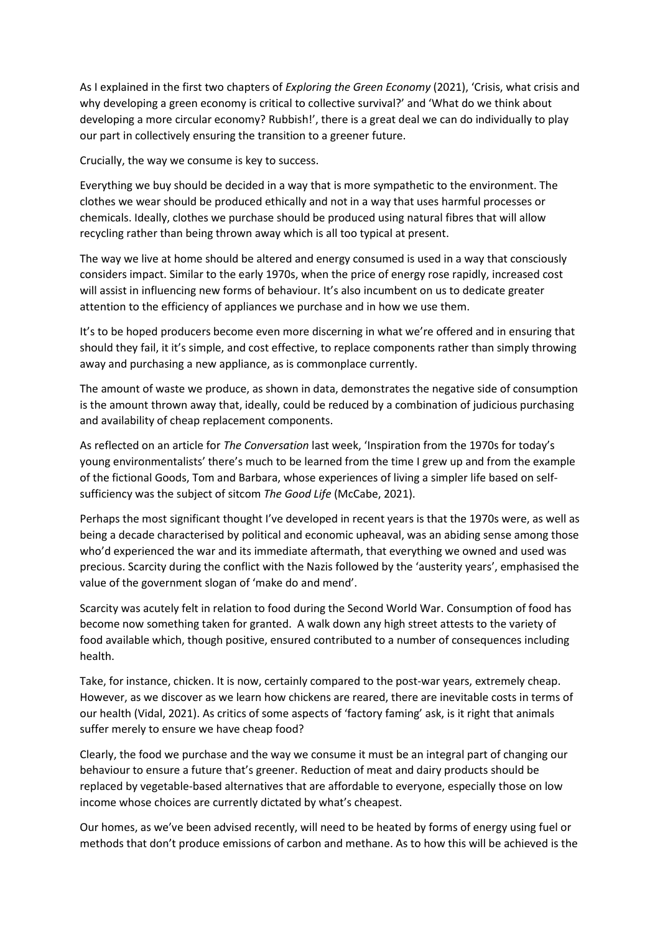As I explained in the first two chapters of *Exploring the Green Economy* (2021), 'Crisis, what crisis and why developing a green economy is critical to collective survival?' and 'What do we think about developing a more circular economy? Rubbish!', there is a great deal we can do individually to play our part in collectively ensuring the transition to a greener future.

Crucially, the way we consume is key to success.

Everything we buy should be decided in a way that is more sympathetic to the environment. The clothes we wear should be produced ethically and not in a way that uses harmful processes or chemicals. Ideally, clothes we purchase should be produced using natural fibres that will allow recycling rather than being thrown away which is all too typical at present.

The way we live at home should be altered and energy consumed is used in a way that consciously considers impact. Similar to the early 1970s, when the price of energy rose rapidly, increased cost will assist in influencing new forms of behaviour. It's also incumbent on us to dedicate greater attention to the efficiency of appliances we purchase and in how we use them.

It's to be hoped producers become even more discerning in what we're offered and in ensuring that should they fail, it it's simple, and cost effective, to replace components rather than simply throwing away and purchasing a new appliance, as is commonplace currently.

The amount of waste we produce, as shown in data, demonstrates the negative side of consumption is the amount thrown away that, ideally, could be reduced by a combination of judicious purchasing and availability of cheap replacement components.

As reflected on an article for *The Conversation* last week, 'Inspiration from the 1970s for today's young environmentalists' there's much to be learned from the time I grew up and from the example of the fictional Goods, Tom and Barbara, whose experiences of living a simpler life based on selfsufficiency was the subject of sitcom *The Good Life* (McCabe, 2021).

Perhaps the most significant thought I've developed in recent years is that the 1970s were, as well as being a decade characterised by political and economic upheaval, was an abiding sense among those who'd experienced the war and its immediate aftermath, that everything we owned and used was precious. Scarcity during the conflict with the Nazis followed by the 'austerity years', emphasised the value of the government slogan of 'make do and mend'.

Scarcity was acutely felt in relation to food during the Second World War. Consumption of food has become now something taken for granted. A walk down any high street attests to the variety of food available which, though positive, ensured contributed to a number of consequences including health.

Take, for instance, chicken. It is now, certainly compared to the post-war years, extremely cheap. However, as we discover as we learn how chickens are reared, there are inevitable costs in terms of our health (Vidal, 2021). As critics of some aspects of 'factory faming' ask, is it right that animals suffer merely to ensure we have cheap food?

Clearly, the food we purchase and the way we consume it must be an integral part of changing our behaviour to ensure a future that's greener. Reduction of meat and dairy products should be replaced by vegetable-based alternatives that are affordable to everyone, especially those on low income whose choices are currently dictated by what's cheapest.

Our homes, as we've been advised recently, will need to be heated by forms of energy using fuel or methods that don't produce emissions of carbon and methane. As to how this will be achieved is the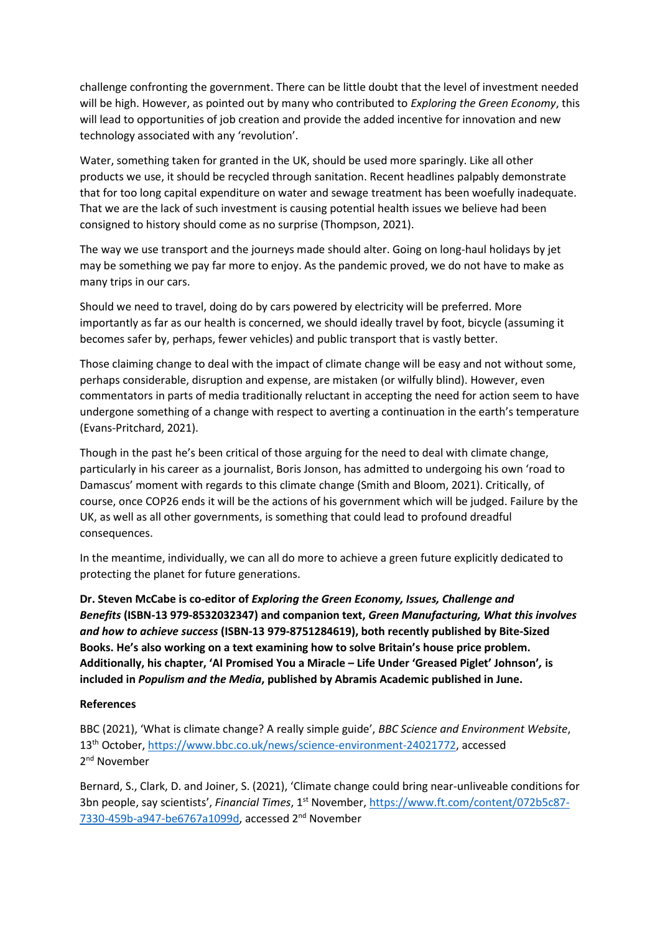challenge confronting the government. There can be little doubt that the level of investment needed will be high. However, as pointed out by many who contributed to *Exploring the Green Economy*, this will lead to opportunities of job creation and provide the added incentive for innovation and new technology associated with any 'revolution'.

Water, something taken for granted in the UK, should be used more sparingly. Like all other products we use, it should be recycled through sanitation. Recent headlines palpably demonstrate that for too long capital expenditure on water and sewage treatment has been woefully inadequate. That we are the lack of such investment is causing potential health issues we believe had been consigned to history should come as no surprise (Thompson, 2021).

The way we use transport and the journeys made should alter. Going on long-haul holidays by jet may be something we pay far more to enjoy. As the pandemic proved, we do not have to make as many trips in our cars.

Should we need to travel, doing do by cars powered by electricity will be preferred. More importantly as far as our health is concerned, we should ideally travel by foot, bicycle (assuming it becomes safer by, perhaps, fewer vehicles) and public transport that is vastly better.

Those claiming change to deal with the impact of climate change will be easy and not without some, perhaps considerable, disruption and expense, are mistaken (or wilfully blind). However, even commentators in parts of media traditionally reluctant in accepting the need for action seem to have undergone something of a change with respect to averting a continuation in the earth's temperature (Evans-Pritchard, 2021).

Though in the past he's been critical of those arguing for the need to deal with climate change, particularly in his career as a journalist, Boris Jonson, has admitted to undergoing his own 'road to Damascus' moment with regards to this climate change (Smith and Bloom, 2021). Critically, of course, once COP26 ends it will be the actions of his government which will be judged. Failure by the UK, as well as all other governments, is something that could lead to profound dreadful consequences.

In the meantime, individually, we can all do more to achieve a green future explicitly dedicated to protecting the planet for future generations.

**Dr. Steven McCabe is co-editor of** *Exploring the Green Economy, Issues, Challenge and Benefits* **(ISBN-13 979-8532032347) and companion text,** *Green Manufacturing, What this involves and how to achieve success* **(ISBN-13 979-8751284619), both recently published by Bite-Sized Books. He's also working on a text examining how to solve Britain's house price problem. Additionally, his chapter, 'Al Promised You a Miracle – Life Under 'Greased Piglet' Johnson'***,* **is included in** *Populism and the Media***, published by Abramis Academic published in June.**

## **References**

BBC (2021), 'What is climate change? A really simple guide', *BBC Science and Environment Website*, 13th October, [https://www.bbc.co.uk/news/science-environment-24021772,](https://www.bbc.co.uk/news/science-environment-24021772) accessed 2<sup>nd</sup> November

Bernard, S., Clark, D. and Joiner, S. (2021), 'Climate change could bring near-unliveable conditions for 3bn people, say scientists', *Financial Times*, 1st November, [https://www.ft.com/content/072b5c87-](https://www.ft.com/content/072b5c87-7330-459b-a947-be6767a1099d) [7330-459b-a947-be6767a1099d,](https://www.ft.com/content/072b5c87-7330-459b-a947-be6767a1099d) accessed 2nd November